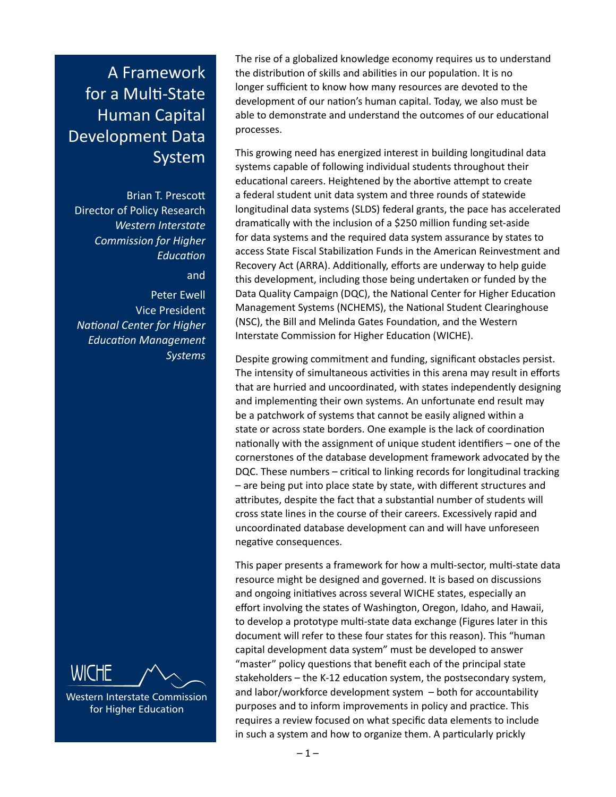# A Framework for a Multi-State Human Capital Development Data System

Brian T. Prescott Director of Policy Research *Western Interstate Commission for Higher Education* and

Peter Ewell Vice President *National Center for Higher Education Management Systems*



Western Interstate Commission for Higher Education

The rise of a globalized knowledge economy requires us to understand the distribution of skills and abilities in our population. It is no longer sufficient to know how many resources are devoted to the development of our nation's human capital. Today, we also must be able to demonstrate and understand the outcomes of our educational processes.

This growing need has energized interest in building longitudinal data systems capable of following individual students throughout their educational careers. Heightened by the abortive attempt to create a federal student unit data system and three rounds of statewide longitudinal data systems (SLDS) federal grants, the pace has accelerated dramatically with the inclusion of a \$250 million funding set-aside for data systems and the required data system assurance by states to access State Fiscal Stabilization Funds in the American Reinvestment and Recovery Act (ARRA). Additionally, efforts are underway to help guide this development, including those being undertaken or funded by the Data Quality Campaign (DQC), the National Center for Higher Education Management Systems (NCHEMS), the National Student Clearinghouse (NSC), the Bill and Melinda Gates Foundation, and the Western Interstate Commission for Higher Education (WICHE).

Despite growing commitment and funding, significant obstacles persist. The intensity of simultaneous activities in this arena may result in efforts that are hurried and uncoordinated, with states independently designing and implementing their own systems. An unfortunate end result may be a patchwork of systems that cannot be easily aligned within a state or across state borders. One example is the lack of coordination nationally with the assignment of unique student identifiers – one of the cornerstones of the database development framework advocated by the DQC. These numbers – critical to linking records for longitudinal tracking – are being put into place state by state, with different structures and attributes, despite the fact that a substantial number of students will cross state lines in the course of their careers. Excessively rapid and uncoordinated database development can and will have unforeseen negative consequences.

This paper presents a framework for how a multi-sector, multi-state data resource might be designed and governed. It is based on discussions and ongoing initiatives across several WICHE states, especially an effort involving the states of Washington, Oregon, Idaho, and Hawaii, to develop a prototype multi-state data exchange (Figures later in this document will refer to these four states for this reason). This "human capital development data system" must be developed to answer "master" policy questions that benefit each of the principal state stakeholders – the K-12 education system, the postsecondary system, and labor/workforce development system – both for accountability purposes and to inform improvements in policy and practice. This requires a review focused on what specific data elements to include in such a system and how to organize them. A particularly prickly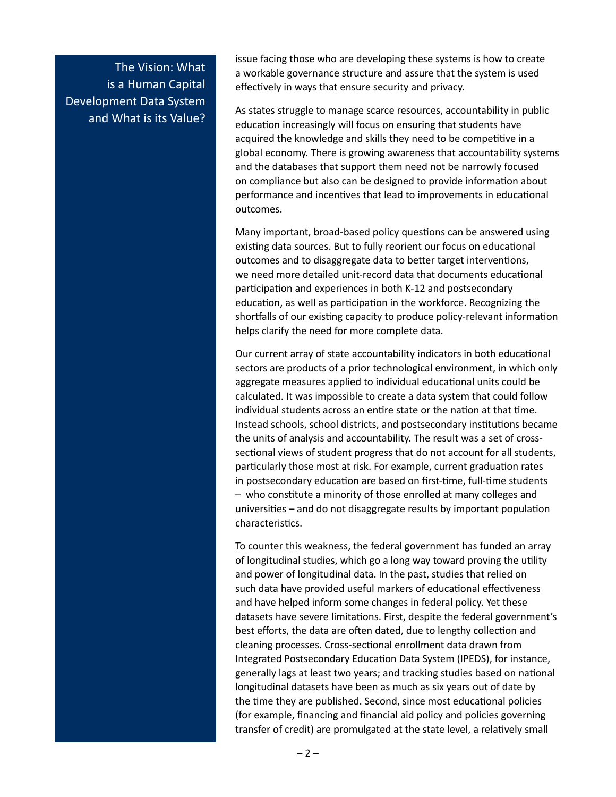The Vision: What is a Human Capital Development Data System and What is its Value?

issue facing those who are developing these systems is how to create a workable governance structure and assure that the system is used effectively in ways that ensure security and privacy.

As states struggle to manage scarce resources, accountability in public education increasingly will focus on ensuring that students have acquired the knowledge and skills they need to be competitive in a global economy. There is growing awareness that accountability systems and the databases that support them need not be narrowly focused on compliance but also can be designed to provide information about performance and incentives that lead to improvements in educational outcomes.

Many important, broad-based policy questions can be answered using existing data sources. But to fully reorient our focus on educational outcomes and to disaggregate data to better target interventions, we need more detailed unit-record data that documents educational participation and experiences in both K-12 and postsecondary education, as well as participation in the workforce. Recognizing the shortfalls of our existing capacity to produce policy-relevant information helps clarify the need for more complete data.

Our current array of state accountability indicators in both educational sectors are products of a prior technological environment, in which only aggregate measures applied to individual educational units could be calculated. It was impossible to create a data system that could follow individual students across an entire state or the nation at that time. Instead schools, school districts, and postsecondary institutions became the units of analysis and accountability. The result was a set of crosssectional views of student progress that do not account for all students, particularly those most at risk. For example, current graduation rates in postsecondary education are based on first-time, full-time students – who constitute a minority of those enrolled at many colleges and universities – and do not disaggregate results by important population characteristics.

To counter this weakness, the federal government has funded an array of longitudinal studies, which go a long way toward proving the utility and power of longitudinal data. In the past, studies that relied on such data have provided useful markers of educational effectiveness and have helped inform some changes in federal policy. Yet these datasets have severe limitations. First, despite the federal government's best efforts, the data are often dated, due to lengthy collection and cleaning processes. Cross-sectional enrollment data drawn from Integrated Postsecondary Education Data System (IPEDS), for instance, generally lags at least two years; and tracking studies based on national longitudinal datasets have been as much as six years out of date by the time they are published. Second, since most educational policies (for example, financing and financial aid policy and policies governing transfer of credit) are promulgated at the state level, a relatively small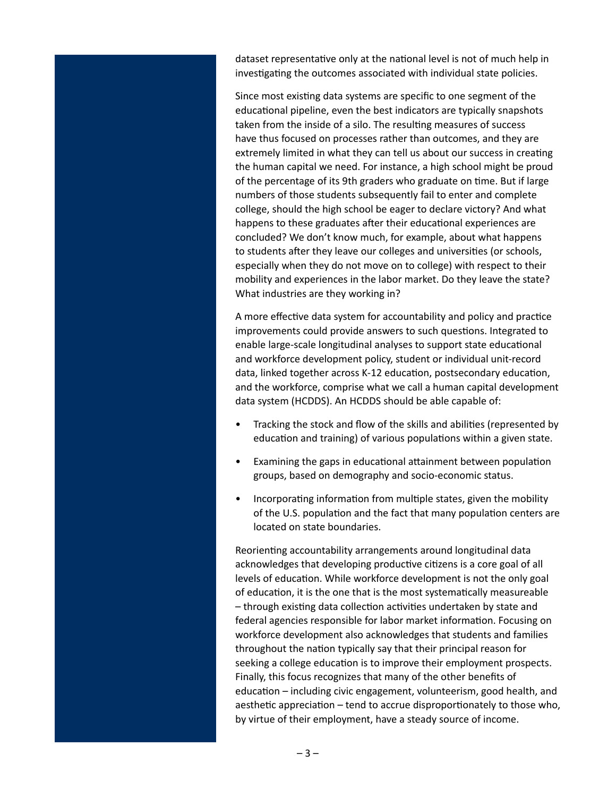dataset representative only at the national level is not of much help in investigating the outcomes associated with individual state policies.

Since most existing data systems are specific to one segment of the educational pipeline, even the best indicators are typically snapshots taken from the inside of a silo. The resulting measures of success have thus focused on processes rather than outcomes, and they are extremely limited in what they can tell us about our success in creating the human capital we need. For instance, a high school might be proud of the percentage of its 9th graders who graduate on time. But if large numbers of those students subsequently fail to enter and complete college, should the high school be eager to declare victory? And what happens to these graduates after their educational experiences are concluded? We don't know much, for example, about what happens to students after they leave our colleges and universities (or schools, especially when they do not move on to college) with respect to their mobility and experiences in the labor market. Do they leave the state? What industries are they working in?

A more effective data system for accountability and policy and practice improvements could provide answers to such questions. Integrated to enable large-scale longitudinal analyses to support state educational and workforce development policy, student or individual unit-record data, linked together across K-12 education, postsecondary education, and the workforce, comprise what we call a human capital development data system (HCDDS). An HCDDS should be able capable of:

- Tracking the stock and flow of the skills and abilities (represented by education and training) of various populations within a given state.
- Examining the gaps in educational attainment between population groups, based on demography and socio-economic status.
- Incorporating information from multiple states, given the mobility of the U.S. population and the fact that many population centers are located on state boundaries.

Reorienting accountability arrangements around longitudinal data acknowledges that developing productive citizens is a core goal of all levels of education. While workforce development is not the only goal of education, it is the one that is the most systematically measureable – through existing data collection activities undertaken by state and federal agencies responsible for labor market information. Focusing on workforce development also acknowledges that students and families throughout the nation typically say that their principal reason for seeking a college education is to improve their employment prospects. Finally, this focus recognizes that many of the other benefits of education – including civic engagement, volunteerism, good health, and aesthetic appreciation – tend to accrue disproportionately to those who, by virtue of their employment, have a steady source of income.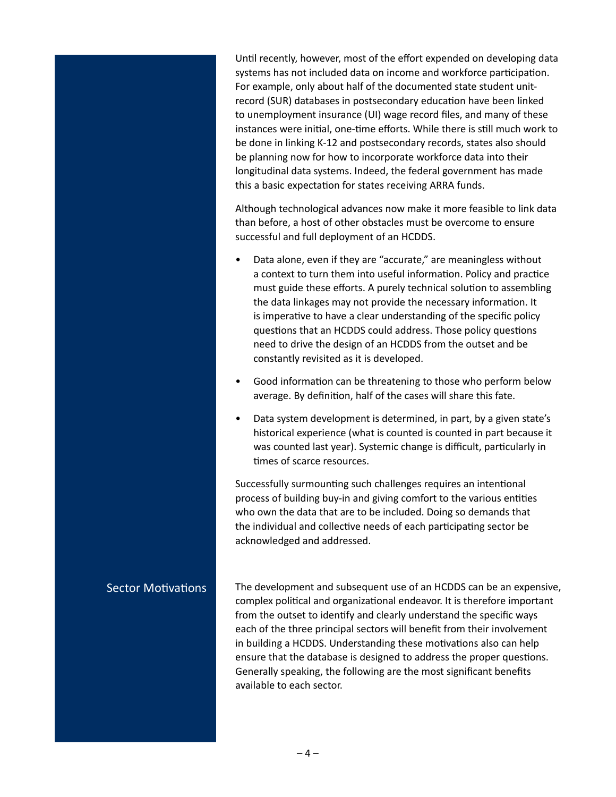Until recently, however, most of the effort expended on developing data systems has not included data on income and workforce participation. For example, only about half of the documented state student unitrecord (SUR) databases in postsecondary education have been linked to unemployment insurance (UI) wage record files, and many of these instances were initial, one-time efforts. While there is still much work to be done in linking K-12 and postsecondary records, states also should be planning now for how to incorporate workforce data into their longitudinal data systems. Indeed, the federal government has made this a basic expectation for states receiving ARRA funds.

Although technological advances now make it more feasible to link data than before, a host of other obstacles must be overcome to ensure successful and full deployment of an HCDDS.

- Data alone, even if they are "accurate," are meaningless without a context to turn them into useful information. Policy and practice must guide these efforts. A purely technical solution to assembling the data linkages may not provide the necessary information. It is imperative to have a clear understanding of the specific policy questions that an HCDDS could address. Those policy questions need to drive the design of an HCDDS from the outset and be constantly revisited as it is developed.
- Good information can be threatening to those who perform below average. By definition, half of the cases will share this fate.
- Data system development is determined, in part, by a given state's historical experience (what is counted is counted in part because it was counted last year). Systemic change is difficult, particularly in times of scarce resources.

Successfully surmounting such challenges requires an intentional process of building buy-in and giving comfort to the various entities who own the data that are to be included. Doing so demands that the individual and collective needs of each participating sector be acknowledged and addressed.

The development and subsequent use of an HCDDS can be an expensive, complex political and organizational endeavor. It is therefore important from the outset to identify and clearly understand the specific ways each of the three principal sectors will benefit from their involvement in building a HCDDS. Understanding these motivations also can help ensure that the database is designed to address the proper questions. Generally speaking, the following are the most significant benefits available to each sector.

#### Sector Motivations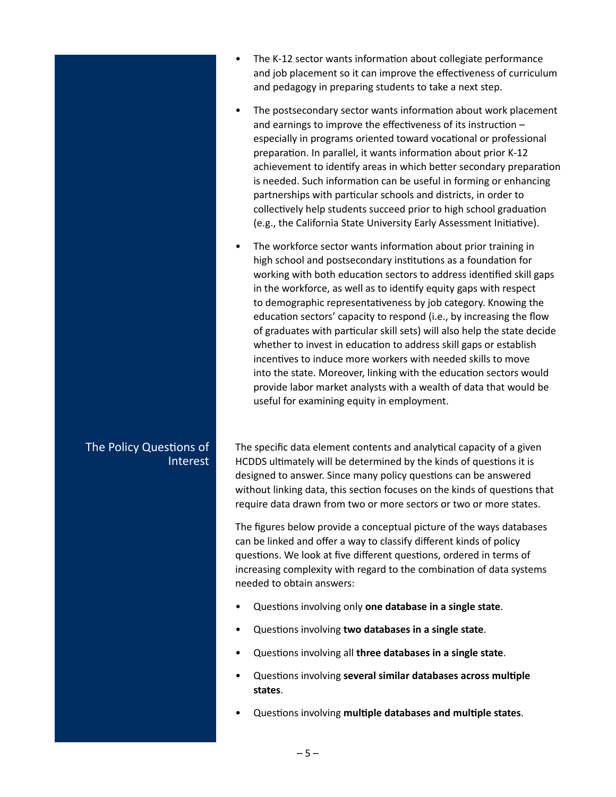- The K-12 sector wants information about collegiate performance and job placement so it can improve the effectiveness of curriculum and pedagogy in preparing students to take a next step.
- The postsecondary sector wants information about work placement and earnings to improve the effectiveness of its instruction – especially in programs oriented toward vocational or professional preparation. In parallel, it wants information about prior K-12 achievement to identify areas in which better secondary preparation is needed. Such information can be useful in forming or enhancing partnerships with particular schools and districts, in order to collectively help students succeed prior to high school graduation (e.g., the California State University Early Assessment Initiative).
- The workforce sector wants information about prior training in high school and postsecondary institutions as a foundation for working with both education sectors to address identified skill gaps in the workforce, as well as to identify equity gaps with respect to demographic representativeness by job category. Knowing the education sectors' capacity to respond (i.e., by increasing the flow of graduates with particular skill sets) will also help the state decide whether to invest in education to address skill gaps or establish incentives to induce more workers with needed skills to move into the state. Moreover, linking with the education sectors would provide labor market analysts with a wealth of data that would be useful for examining equity in employment.

The specific data element contents and analytical capacity of a given HCDDS ultimately will be determined by the kinds of questions it is designed to answer. Since many policy questions can be answered without linking data, this section focuses on the kinds of questions that require data drawn from two or more sectors or two or more states.

The figures below provide a conceptual picture of the ways databases can be linked and offer a way to classify different kinds of policy questions. We look at five different questions, ordered in terms of increasing complexity with regard to the combination of data systems needed to obtain answers:

- Questions involving only **one database in a single state**.
- Questions involving **two databases in a single state**.
- Questions involving all **three databases in a single state**.
- Questions involving **several similar databases across multiple states**.
- Questions involving **multiple databases and multiple states**.

# The Policy Questions of Interest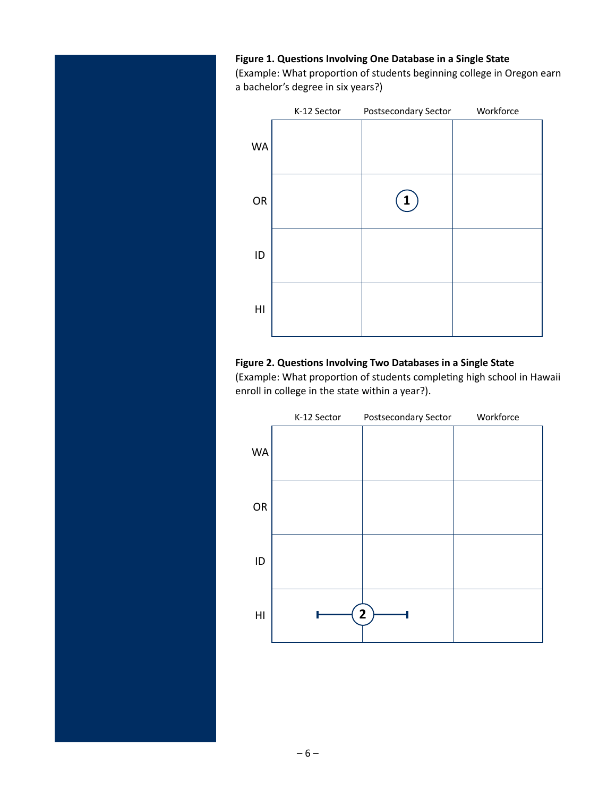#### **Figure 1. Questions Involving One Database in a Single State**

(Example: What proportion of students beginning college in Oregon earn a bachelor's degree in six years?)



#### **Figure 2. Questions Involving Two Databases in a Single State**

(Example: What proportion of students completing high school in Hawaii enroll in college in the state within a year?).

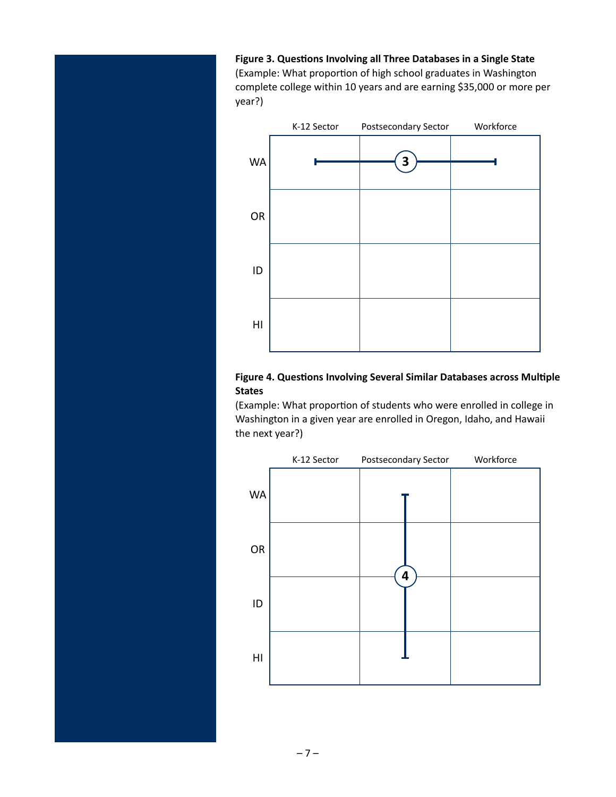**Figure 3. Questions Involving all Three Databases in a Single State**  (Example: What proportion of high school graduates in Washington complete college within 10 years and are earning \$35,000 or more per year?)



### **Figure 4. Questions Involving Several Similar Databases across Multiple States**

(Example: What proportion of students who were enrolled in college in Washington in a given year are enrolled in Oregon, Idaho, and Hawaii the next year?)

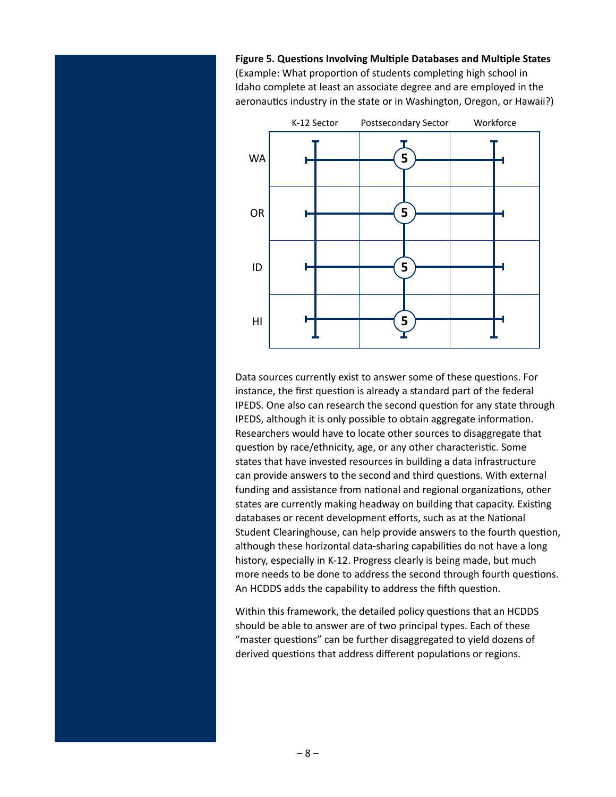**Figure 5. Questions Involving Multiple Databases and Multiple States**  (Example: What proportion of students completing high school in Idaho complete at least an associate degree and are employed in the aeronautics industry in the state or in Washington, Oregon, or Hawaii?)



Data sources currently exist to answer some of these questions. For instance, the first question is already a standard part of the federal IPEDS. One also can research the second question for any state through IPEDS, although it is only possible to obtain aggregate information. Researchers would have to locate other sources to disaggregate that question by race/ethnicity, age, or any other characteristic. Some states that have invested resources in building a data infrastructure can provide answers to the second and third questions. With external funding and assistance from national and regional organizations, other states are currently making headway on building that capacity. Existing databases or recent development efforts, such as at the National Student Clearinghouse, can help provide answers to the fourth question, although these horizontal data-sharing capabilities do not have a long history, especially in K-12. Progress clearly is being made, but much more needs to be done to address the second through fourth questions. An HCDDS adds the capability to address the fifth question.

Within this framework, the detailed policy questions that an HCDDS should be able to answer are of two principal types. Each of these "master questions" can be further disaggregated to yield dozens of derived questions that address different populations or regions.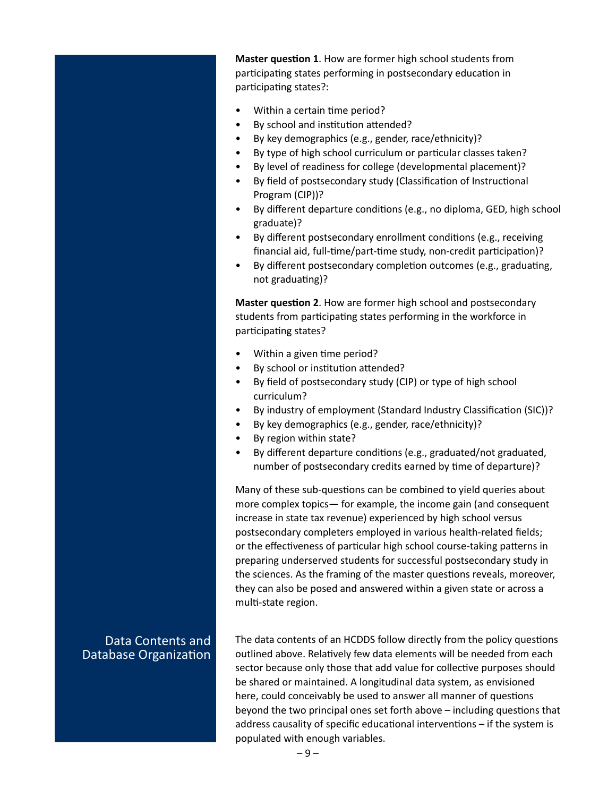**Master question 1**. How are former high school students from participating states performing in postsecondary education in participating states?:

- Within a certain time period?
- By school and institution attended?
- By key demographics (e.g., gender, race/ethnicity)?
- By type of high school curriculum or particular classes taken?
- By level of readiness for college (developmental placement)?
- By field of postsecondary study (Classification of Instructional Program (CIP))?
- By different departure conditions (e.g., no diploma, GED, high school graduate)?
- By different postsecondary enrollment conditions (e.g., receiving financial aid, full-time/part-time study, non-credit participation)?
- By different postsecondary completion outcomes (e.g., graduating, not graduating)?

**Master question 2**. How are former high school and postsecondary students from participating states performing in the workforce in participating states?

- Within a given time period?
- By school or institution attended?
- By field of postsecondary study (CIP) or type of high school curriculum?
- By industry of employment (Standard Industry Classification (SIC))?
- By key demographics (e.g., gender, race/ethnicity)?
- By region within state?
- By different departure conditions (e.g., graduated/not graduated, number of postsecondary credits earned by time of departure)?

Many of these sub-questions can be combined to yield queries about more complex topics— for example, the income gain (and consequent increase in state tax revenue) experienced by high school versus postsecondary completers employed in various health-related fields; or the effectiveness of particular high school course-taking patterns in preparing underserved students for successful postsecondary study in the sciences. As the framing of the master questions reveals, moreover, they can also be posed and answered within a given state or across a multi-state region.

## Data Contents and Database Organization

The data contents of an HCDDS follow directly from the policy questions outlined above. Relatively few data elements will be needed from each sector because only those that add value for collective purposes should be shared or maintained. A longitudinal data system, as envisioned here, could conceivably be used to answer all manner of questions beyond the two principal ones set forth above – including questions that address causality of specific educational interventions – if the system is populated with enough variables.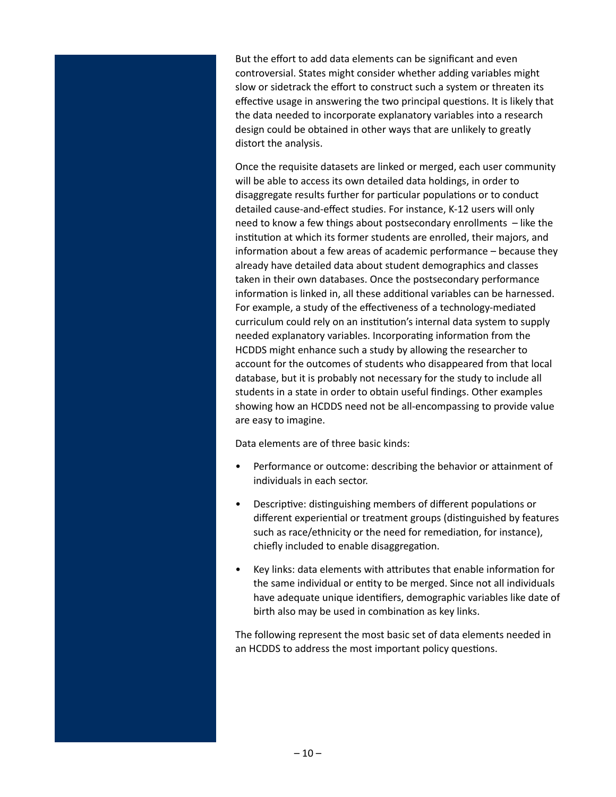But the effort to add data elements can be significant and even controversial. States might consider whether adding variables might slow or sidetrack the effort to construct such a system or threaten its effective usage in answering the two principal questions. It is likely that the data needed to incorporate explanatory variables into a research design could be obtained in other ways that are unlikely to greatly distort the analysis.

Once the requisite datasets are linked or merged, each user community will be able to access its own detailed data holdings, in order to disaggregate results further for particular populations or to conduct detailed cause-and-effect studies. For instance, K-12 users will only need to know a few things about postsecondary enrollments – like the institution at which its former students are enrolled, their majors, and information about a few areas of academic performance – because they already have detailed data about student demographics and classes taken in their own databases. Once the postsecondary performance information is linked in, all these additional variables can be harnessed. For example, a study of the effectiveness of a technology-mediated curriculum could rely on an institution's internal data system to supply needed explanatory variables. Incorporating information from the HCDDS might enhance such a study by allowing the researcher to account for the outcomes of students who disappeared from that local database, but it is probably not necessary for the study to include all students in a state in order to obtain useful findings. Other examples showing how an HCDDS need not be all-encompassing to provide value are easy to imagine.

Data elements are of three basic kinds:

- Performance or outcome: describing the behavior or attainment of individuals in each sector.
- Descriptive: distinguishing members of different populations or different experiential or treatment groups (distinguished by features such as race/ethnicity or the need for remediation, for instance), chiefly included to enable disaggregation.
- Key links: data elements with attributes that enable information for the same individual or entity to be merged. Since not all individuals have adequate unique identifiers, demographic variables like date of birth also may be used in combination as key links.

The following represent the most basic set of data elements needed in an HCDDS to address the most important policy questions.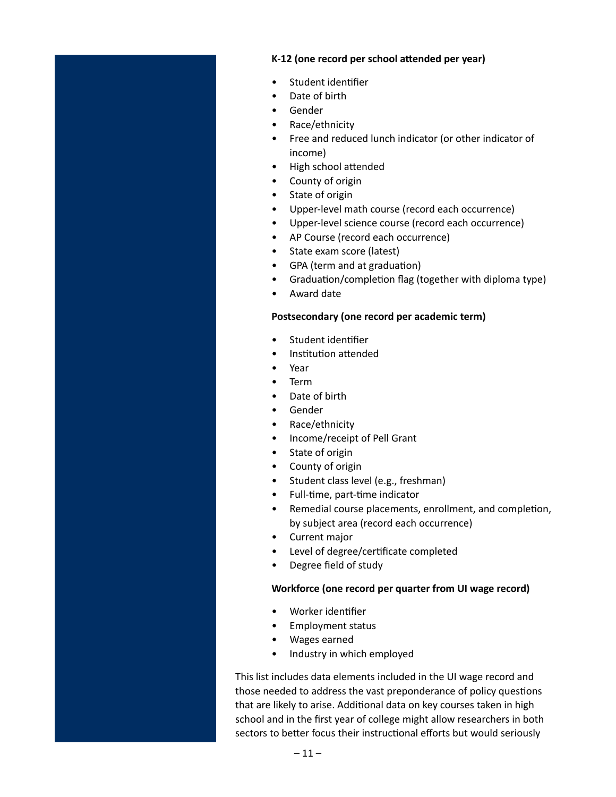#### **K-12 (one record per school attended per year)**

- Student identifier
- Date of birth
- Gender
- Race/ethnicity
- Free and reduced lunch indicator (or other indicator of income)
- High school attended
- County of origin
- State of origin
- Upper-level math course (record each occurrence)
- Upper-level science course (record each occurrence)
- AP Course (record each occurrence)
- State exam score (latest)
- GPA (term and at graduation)
- Graduation/completion flag (together with diploma type)
- Award date

#### **Postsecondary (one record per academic term)**

- Student identifier
- Institution attended
- Year
- Term
- Date of birth
- Gender
- Race/ethnicity
- Income/receipt of Pell Grant
- State of origin
- County of origin
- Student class level (e.g., freshman)
- Full-time, part-time indicator
- Remedial course placements, enrollment, and completion, by subject area (record each occurrence)
- Current major
- Level of degree/certificate completed
- Degree field of study

#### **Workforce (one record per quarter from UI wage record)**

- Worker identifier
- Employment status
- Wages earned
- Industry in which employed

This list includes data elements included in the UI wage record and those needed to address the vast preponderance of policy questions that are likely to arise. Additional data on key courses taken in high school and in the first year of college might allow researchers in both sectors to better focus their instructional efforts but would seriously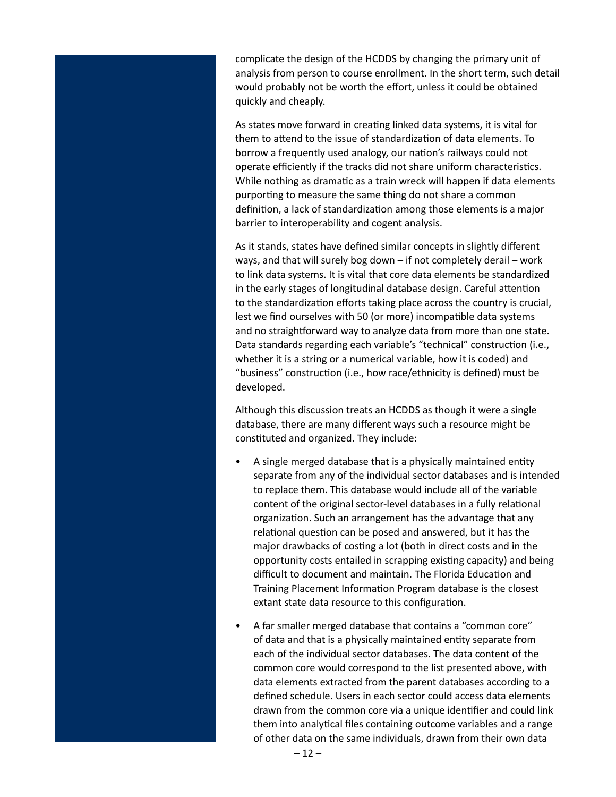complicate the design of the HCDDS by changing the primary unit of analysis from person to course enrollment. In the short term, such detail would probably not be worth the effort, unless it could be obtained quickly and cheaply.

As states move forward in creating linked data systems, it is vital for them to attend to the issue of standardization of data elements. To borrow a frequently used analogy, our nation's railways could not operate efficiently if the tracks did not share uniform characteristics. While nothing as dramatic as a train wreck will happen if data elements purporting to measure the same thing do not share a common definition, a lack of standardization among those elements is a major barrier to interoperability and cogent analysis.

As it stands, states have defined similar concepts in slightly different ways, and that will surely bog down – if not completely derail – work to link data systems. It is vital that core data elements be standardized in the early stages of longitudinal database design. Careful attention to the standardization efforts taking place across the country is crucial, lest we find ourselves with 50 (or more) incompatible data systems and no straightforward way to analyze data from more than one state. Data standards regarding each variable's "technical" construction (i.e., whether it is a string or a numerical variable, how it is coded) and "business" construction (i.e., how race/ethnicity is defined) must be developed.

Although this discussion treats an HCDDS as though it were a single database, there are many different ways such a resource might be constituted and organized. They include:

- A single merged database that is a physically maintained entity separate from any of the individual sector databases and is intended to replace them. This database would include all of the variable content of the original sector-level databases in a fully relational organization. Such an arrangement has the advantage that any relational question can be posed and answered, but it has the major drawbacks of costing a lot (both in direct costs and in the opportunity costs entailed in scrapping existing capacity) and being difficult to document and maintain. The Florida Education and Training Placement Information Program database is the closest extant state data resource to this configuration.
- A far smaller merged database that contains a "common core" of data and that is a physically maintained entity separate from each of the individual sector databases. The data content of the common core would correspond to the list presented above, with data elements extracted from the parent databases according to a defined schedule. Users in each sector could access data elements drawn from the common core via a unique identifier and could link them into analytical files containing outcome variables and a range of other data on the same individuals, drawn from their own data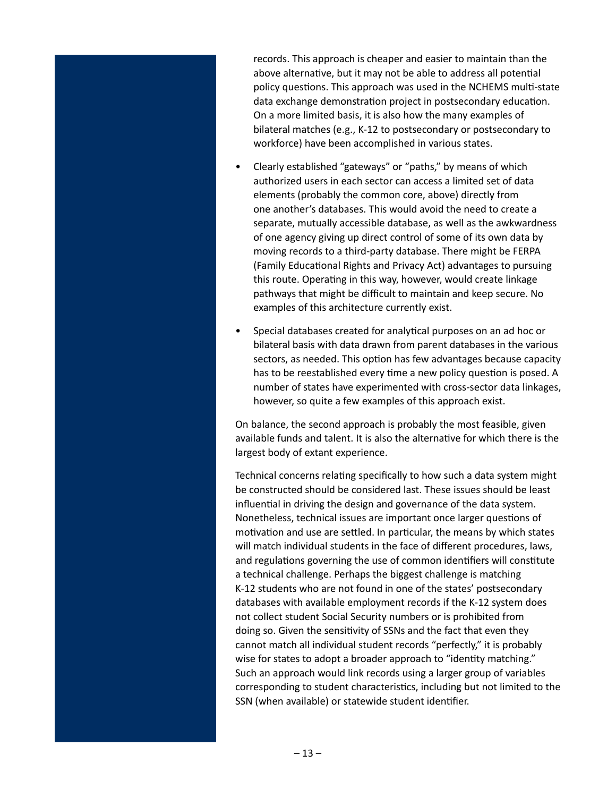records. This approach is cheaper and easier to maintain than the above alternative, but it may not be able to address all potential policy questions. This approach was used in the NCHEMS multi-state data exchange demonstration project in postsecondary education. On a more limited basis, it is also how the many examples of bilateral matches (e.g., K-12 to postsecondary or postsecondary to workforce) have been accomplished in various states.

- Clearly established "gateways" or "paths," by means of which authorized users in each sector can access a limited set of data elements (probably the common core, above) directly from one another's databases. This would avoid the need to create a separate, mutually accessible database, as well as the awkwardness of one agency giving up direct control of some of its own data by moving records to a third-party database. There might be FERPA (Family Educational Rights and Privacy Act) advantages to pursuing this route. Operating in this way, however, would create linkage pathways that might be difficult to maintain and keep secure. No examples of this architecture currently exist.
- Special databases created for analytical purposes on an ad hoc or bilateral basis with data drawn from parent databases in the various sectors, as needed. This option has few advantages because capacity has to be reestablished every time a new policy question is posed. A number of states have experimented with cross-sector data linkages, however, so quite a few examples of this approach exist.

On balance, the second approach is probably the most feasible, given available funds and talent. It is also the alternative for which there is the largest body of extant experience.

Technical concerns relating specifically to how such a data system might be constructed should be considered last. These issues should be least influential in driving the design and governance of the data system. Nonetheless, technical issues are important once larger questions of motivation and use are settled. In particular, the means by which states will match individual students in the face of different procedures, laws, and regulations governing the use of common identifiers will constitute a technical challenge. Perhaps the biggest challenge is matching K-12 students who are not found in one of the states' postsecondary databases with available employment records if the K-12 system does not collect student Social Security numbers or is prohibited from doing so. Given the sensitivity of SSNs and the fact that even they cannot match all individual student records "perfectly," it is probably wise for states to adopt a broader approach to "identity matching." Such an approach would link records using a larger group of variables corresponding to student characteristics, including but not limited to the SSN (when available) or statewide student identifier.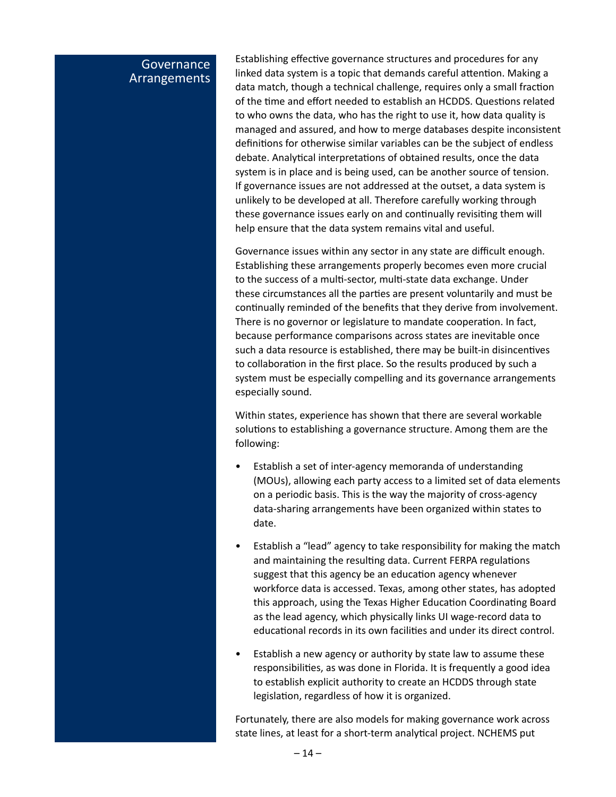# **Governance** Arrangements

Establishing effective governance structures and procedures for any linked data system is a topic that demands careful attention. Making a data match, though a technical challenge, requires only a small fraction of the time and effort needed to establish an HCDDS. Questions related to who owns the data, who has the right to use it, how data quality is managed and assured, and how to merge databases despite inconsistent definitions for otherwise similar variables can be the subject of endless debate. Analytical interpretations of obtained results, once the data system is in place and is being used, can be another source of tension. If governance issues are not addressed at the outset, a data system is unlikely to be developed at all. Therefore carefully working through these governance issues early on and continually revisiting them will help ensure that the data system remains vital and useful.

Governance issues within any sector in any state are difficult enough. Establishing these arrangements properly becomes even more crucial to the success of a multi-sector, multi-state data exchange. Under these circumstances all the parties are present voluntarily and must be continually reminded of the benefits that they derive from involvement. There is no governor or legislature to mandate cooperation. In fact, because performance comparisons across states are inevitable once such a data resource is established, there may be built-in disincentives to collaboration in the first place. So the results produced by such a system must be especially compelling and its governance arrangements especially sound.

Within states, experience has shown that there are several workable solutions to establishing a governance structure. Among them are the following:

- Establish a set of inter-agency memoranda of understanding (MOUs), allowing each party access to a limited set of data elements on a periodic basis. This is the way the majority of cross-agency data-sharing arrangements have been organized within states to date.
- Establish a "lead" agency to take responsibility for making the match and maintaining the resulting data. Current FERPA regulations suggest that this agency be an education agency whenever workforce data is accessed. Texas, among other states, has adopted this approach, using the Texas Higher Education Coordinating Board as the lead agency, which physically links UI wage-record data to educational records in its own facilities and under its direct control.
- Establish a new agency or authority by state law to assume these responsibilities, as was done in Florida. It is frequently a good idea to establish explicit authority to create an HCDDS through state legislation, regardless of how it is organized.

Fortunately, there are also models for making governance work across state lines, at least for a short-term analytical project. NCHEMS put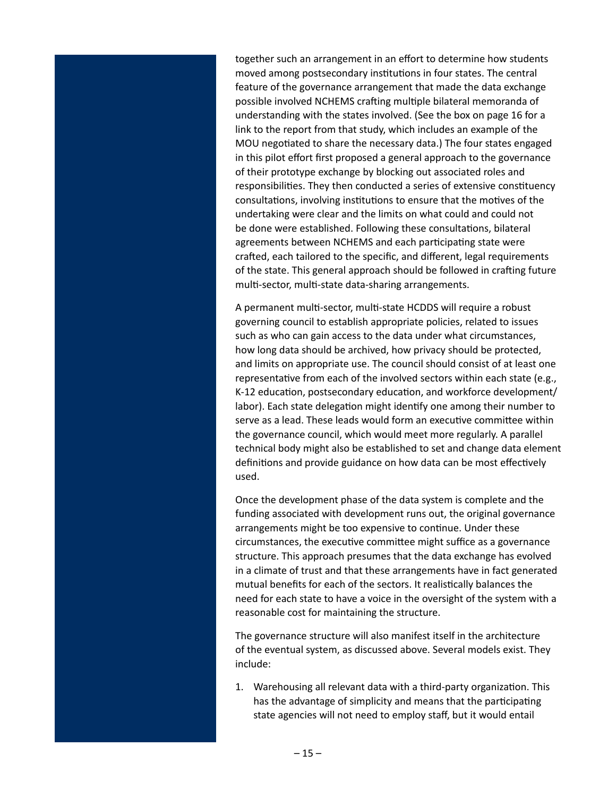together such an arrangement in an effort to determine how students moved among postsecondary institutions in four states. The central feature of the governance arrangement that made the data exchange possible involved NCHEMS crafting multiple bilateral memoranda of understanding with the states involved. (See the box on page 16 for a link to the report from that study, which includes an example of the MOU negotiated to share the necessary data.) The four states engaged in this pilot effort first proposed a general approach to the governance of their prototype exchange by blocking out associated roles and responsibilities. They then conducted a series of extensive constituency consultations, involving institutions to ensure that the motives of the undertaking were clear and the limits on what could and could not be done were established. Following these consultations, bilateral agreements between NCHEMS and each participating state were crafted, each tailored to the specific, and different, legal requirements of the state. This general approach should be followed in crafting future multi-sector, multi-state data-sharing arrangements.

A permanent multi-sector, multi-state HCDDS will require a robust governing council to establish appropriate policies, related to issues such as who can gain access to the data under what circumstances, how long data should be archived, how privacy should be protected, and limits on appropriate use. The council should consist of at least one representative from each of the involved sectors within each state (e.g., K-12 education, postsecondary education, and workforce development/ labor). Each state delegation might identify one among their number to serve as a lead. These leads would form an executive committee within the governance council, which would meet more regularly. A parallel technical body might also be established to set and change data element definitions and provide guidance on how data can be most effectively used.

Once the development phase of the data system is complete and the funding associated with development runs out, the original governance arrangements might be too expensive to continue. Under these circumstances, the executive committee might suffice as a governance structure. This approach presumes that the data exchange has evolved in a climate of trust and that these arrangements have in fact generated mutual benefits for each of the sectors. It realistically balances the need for each state to have a voice in the oversight of the system with a reasonable cost for maintaining the structure.

The governance structure will also manifest itself in the architecture of the eventual system, as discussed above. Several models exist. They include:

1. Warehousing all relevant data with a third-party organization. This has the advantage of simplicity and means that the participating state agencies will not need to employ staff, but it would entail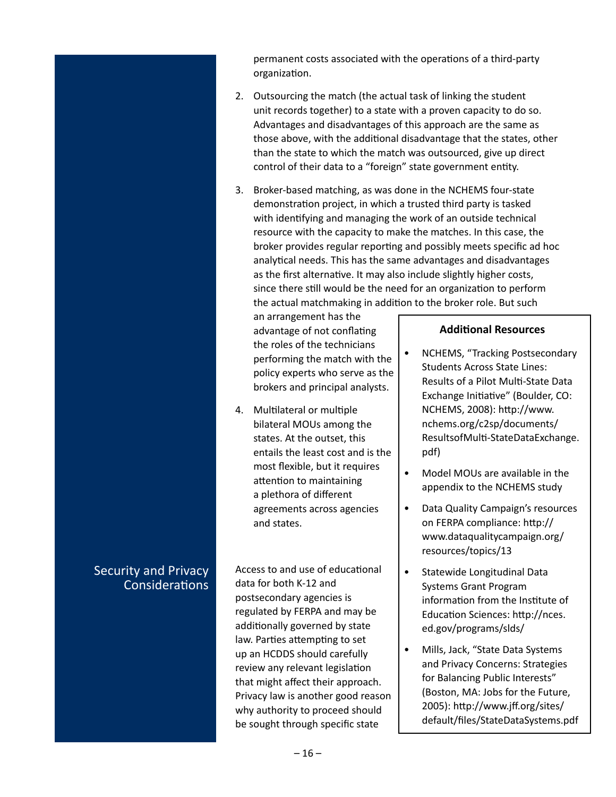permanent costs associated with the operations of a third-party organization.

- 2. Outsourcing the match (the actual task of linking the student unit records together) to a state with a proven capacity to do so. Advantages and disadvantages of this approach are the same as those above, with the additional disadvantage that the states, other than the state to which the match was outsourced, give up direct control of their data to a "foreign" state government entity.
- 3. Broker-based matching, as was done in the NCHEMS four-state demonstration project, in which a trusted third party is tasked with identifying and managing the work of an outside technical resource with the capacity to make the matches. In this case, the broker provides regular reporting and possibly meets specific ad hoc analytical needs. This has the same advantages and disadvantages as the first alternative. It may also include slightly higher costs, since there still would be the need for an organization to perform the actual matchmaking in addition to the broker role. But such

an arrangement has the advantage of not conflating the roles of the technicians performing the match with the policy experts who serve as the brokers and principal analysts.

4. Multilateral or multiple bilateral MOUs among the states. At the outset, this entails the least cost and is the most flexible, but it requires attention to maintaining a plethora of different agreements across agencies and states.

Access to and use of educational data for both K-12 and postsecondary agencies is regulated by FERPA and may be additionally governed by state law. Parties attempting to set up an HCDDS should carefully review any relevant legislation that might affect their approach. Privacy law is another good reason why authority to proceed should be sought through specific state

#### **Additional Resources**

- NCHEMS, "Tracking Postsecondary Students Across State Lines: Results of a Pilot Multi-State Data Exchange Initiative" (Boulder, CO: NCHEMS, 2008): http://www. nchems.org/c2sp/documents/ ResultsofMulti-StateDataExchange. pdf)
- Model MOUs are available in the appendix to the NCHEMS study
- Data Quality Campaign's resources on FERPA compliance: http:// www.dataqualitycampaign.org/ resources/topics/13
- Statewide Longitudinal Data Systems Grant Program information from the Institute of Education Sciences: http://nces. ed.gov/programs/slds/
- Mills, Jack, "State Data Systems and Privacy Concerns: Strategies for Balancing Public Interests" (Boston, MA: Jobs for the Future, 2005): http://www.jff.org/sites/ default/files/StateDataSystems.pdf

# **Security and Privacy Considerations**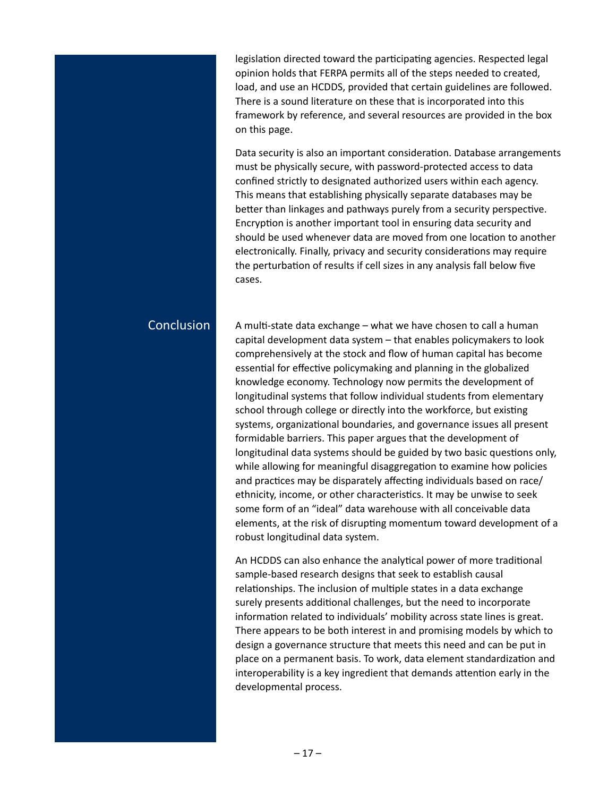legislation directed toward the participating agencies. Respected legal opinion holds that FERPA permits all of the steps needed to created, load, and use an HCDDS, provided that certain guidelines are followed. There is a sound literature on these that is incorporated into this framework by reference, and several resources are provided in the box on this page.

Data security is also an important consideration. Database arrangements must be physically secure, with password-protected access to data confined strictly to designated authorized users within each agency. This means that establishing physically separate databases may be better than linkages and pathways purely from a security perspective. Encryption is another important tool in ensuring data security and should be used whenever data are moved from one location to another electronically. Finally, privacy and security considerations may require the perturbation of results if cell sizes in any analysis fall below five cases.

# Conclusion

A multi-state data exchange – what we have chosen to call a human capital development data system – that enables policymakers to look comprehensively at the stock and flow of human capital has become essential for effective policymaking and planning in the globalized knowledge economy. Technology now permits the development of longitudinal systems that follow individual students from elementary school through college or directly into the workforce, but existing systems, organizational boundaries, and governance issues all present formidable barriers. This paper argues that the development of longitudinal data systems should be guided by two basic questions only, while allowing for meaningful disaggregation to examine how policies and practices may be disparately affecting individuals based on race/ ethnicity, income, or other characteristics. It may be unwise to seek some form of an "ideal" data warehouse with all conceivable data elements, at the risk of disrupting momentum toward development of a robust longitudinal data system.

An HCDDS can also enhance the analytical power of more traditional sample-based research designs that seek to establish causal relationships. The inclusion of multiple states in a data exchange surely presents additional challenges, but the need to incorporate information related to individuals' mobility across state lines is great. There appears to be both interest in and promising models by which to design a governance structure that meets this need and can be put in place on a permanent basis. To work, data element standardization and interoperability is a key ingredient that demands attention early in the developmental process.